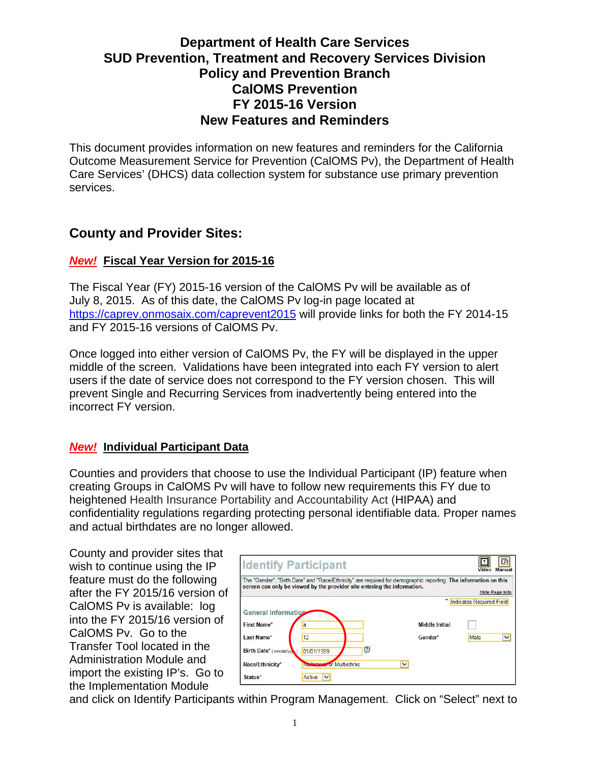# **Department of Health Care Services SUD Prevention, Treatment and Recovery Services Division Policy and Prevention Branch CalOMS Prevention FY 2015-16 Version New Features and Reminders**

This document provides information on new features and reminders for the California Outcome Measurement Service for Prevention (CalOMS Pv), the Department of Health Care Services' (DHCS) data collection system for substance use primary prevention services.

# **County and Provider Sites:**

#### *New!* **Fiscal Year Version for 2015-16**

The Fiscal Year (FY) 2015-16 version of the CalOMS Pv will be available as of July 8, 2015. As of this date, the CalOMS Pv log-in page located at https://caprev.onmosaix.com/caprevent2015 will provide links for both the FY 2014-15 and FY 2015-16 versions of CalOMS Pv.

Once logged into either version of CalOMS Pv, the FY will be displayed in the upper middle of the screen. Validations have been integrated into each FY version to alert users if the date of service does not correspond to the FY version chosen. This will prevent Single and Recurring Services from inadvertently being entered into the incorrect FY version.

### *New!* **Individual Participant Data**

Counties and providers that choose to use the Individual Participant (IP) feature when creating Groups in CalOMS Pv will have to follow new requirements this FY due to heightened Health Insurance Portability and Accountability Act (HIPAA) and confidentiality regulations regarding protecting personal identifiable data. Proper names and actual birthdates are no longer allowed.

County and provider sites that wish to continue using the IP feature must do the following after the FY 2015/16 version of CalOMS Pv is available: log into the FY 2015/16 version of CalOMS Pv. Go to the Transfer Tool located in the Administration Module and import the existing IP's. Go to the Implementation Module

|                            | <b>Identify Participant</b>                                                                                                                                                                 |                       | IЯ<br>Manual<br>Video      |
|----------------------------|---------------------------------------------------------------------------------------------------------------------------------------------------------------------------------------------|-----------------------|----------------------------|
|                            | The "Gender", "Birth Date" and "Race/Ethnicity" are required for demographic reporting. The information on this<br>screen can only be viewed by the provider site entering the information. |                       | <b>Hide Page Info</b>      |
|                            |                                                                                                                                                                                             |                       | * Indicates Required Field |
| <b>General Information</b> |                                                                                                                                                                                             |                       |                            |
| First Name*                | a                                                                                                                                                                                           | <b>Middle Initial</b> |                            |
| Last Name*                 | 12                                                                                                                                                                                          | Gender*               | Male<br>$\checkmark$       |
| Birth Date* (mm/dd/yyw)    | $\left[ 2\right]$<br>01/01/1999                                                                                                                                                             |                       |                            |
| Race/Ethnicity*            | <b>Melticacial</b> or Multiethnic                                                                                                                                                           | $\checkmark$          |                            |
| Status*                    | Active<br>$\checkmark$                                                                                                                                                                      |                       |                            |

and click on Identify Participants within Program Management. Click on "Select" next to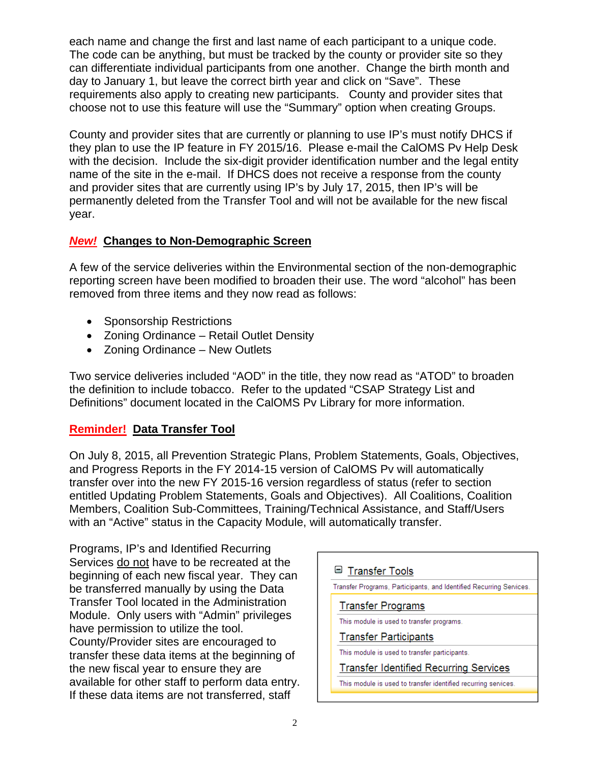each name and change the first and last name of each participant to a unique code. The code can be anything, but must be tracked by the county or provider site so they can differentiate individual participants from one another. Change the birth month and day to January 1, but leave the correct birth year and click on "Save". These requirements also apply to creating new participants. County and provider sites that choose not to use this feature will use the "Summary" option when creating Groups.

County and provider sites that are currently or planning to use IP's must notify DHCS if they plan to use the IP feature in FY 2015/16. Please e-mail the CalOMS Pv Help Desk with the decision. Include the six-digit provider identification number and the legal entity name of the site in the e-mail. If DHCS does not receive a response from the county and provider sites that are currently using IP's by July 17, 2015, then IP's will be permanently deleted from the Transfer Tool and will not be available for the new fiscal year.

### *New!* **Changes to Non-Demographic Screen**

A few of the service deliveries within the Environmental section of the non-demographic reporting screen have been modified to broaden their use. The word "alcohol" has been removed from three items and they now read as follows:

- Sponsorship Restrictions
- Zoning Ordinance Retail Outlet Density
- Zoning Ordinance New Outlets

Two service deliveries included "AOD" in the title, they now read as "ATOD" to broaden the definition to include tobacco. Refer to the updated "CSAP Strategy List and Definitions" document located in the CalOMS Pv Library for more information.

## **Reminder! Data Transfer Tool**

On July 8, 2015, all Prevention Strategic Plans, Problem Statements, Goals, Objectives, and Progress Reports in the FY 2014-15 version of CalOMS Pv will automatically transfer over into the new FY 2015-16 version regardless of status (refer to section entitled Updating Problem Statements, Goals and Objectives). All Coalitions, Coalition Members, Coalition Sub-Committees, Training/Technical Assistance, and Staff/Users with an "Active" status in the Capacity Module, will automatically transfer.

Programs, IP's and Identified Recurring Services do not have to be recreated at the beginning of each new fiscal year. They can be transferred manually by using the Data Transfer Tool located in the Administration Module. Only users with "Admin" privileges have permission to utilize the tool. County/Provider sites are encouraged to transfer these data items at the beginning of the new fiscal year to ensure they are available for other staff to perform data entry. If these data items are not transferred, staff

| <b>■ Transfer Tools</b>                                             |  |  |  |  |  |
|---------------------------------------------------------------------|--|--|--|--|--|
| Transfer Programs, Participants, and Identified Recurring Services. |  |  |  |  |  |
| <b>Transfer Programs</b>                                            |  |  |  |  |  |
| This module is used to transfer programs.                           |  |  |  |  |  |
| <b>Transfer Participants</b>                                        |  |  |  |  |  |
| This module is used to transfer participants.                       |  |  |  |  |  |
| <b>Transfer Identified Recurring Services</b>                       |  |  |  |  |  |
| This module is used to transfer identified recurring services.      |  |  |  |  |  |
|                                                                     |  |  |  |  |  |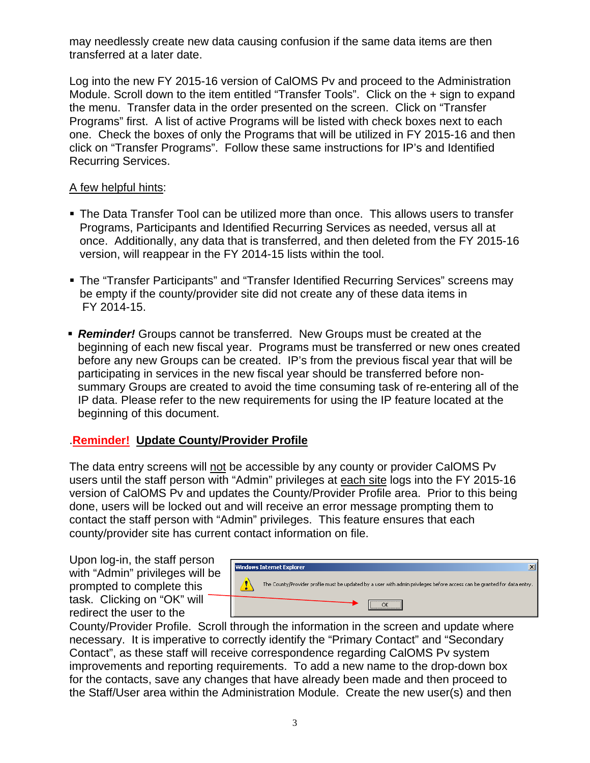may needlessly create new data causing confusion if the same data items are then transferred at a later date.

Log into the new FY 2015-16 version of CalOMS Pv and proceed to the Administration Module. Scroll down to the item entitled "Transfer Tools". Click on the + sign to expand the menu. Transfer data in the order presented on the screen. Click on "Transfer Programs" first. A list of active Programs will be listed with check boxes next to each one. Check the boxes of only the Programs that will be utilized in FY 2015-16 and then click on "Transfer Programs". Follow these same instructions for IP's and Identified Recurring Services.

#### A few helpful hints:

- The Data Transfer Tool can be utilized more than once. This allows users to transfer Programs, Participants and Identified Recurring Services as needed, versus all at once. Additionally, any data that is transferred, and then deleted from the FY 2015-16 version, will reappear in the FY 2014-15 lists within the tool.
- The "Transfer Participants" and "Transfer Identified Recurring Services" screens may be empty if the county/provider site did not create any of these data items in FY 2014-15.
- *Reminder!* Groups cannot be transferred. New Groups must be created at the beginning of each new fiscal year. Programs must be transferred or new ones created before any new Groups can be created. IP's from the previous fiscal year that will be participating in services in the new fiscal year should be transferred before nonsummary Groups are created to avoid the time consuming task of re-entering all of the IP data. Please refer to the new requirements for using the IP feature located at the beginning of this document.

### .**Reminder! Update County/Provider Profile**

The data entry screens will not be accessible by any county or provider CalOMS Pv users until the staff person with "Admin" privileges at each site logs into the FY 2015-16 version of CalOMS Pv and updates the County/Provider Profile area. Prior to this being done, users will be locked out and will receive an error message prompting them to contact the staff person with "Admin" privileges. This feature ensures that each county/provider site has current contact information on file.

Upon log-in, the staff person with "Admin" privileges will be prompted to complete this task. Clicking on "OK" will redirect the user to the



County/Provider Profile. Scroll through the information in the screen and update where necessary. It is imperative to correctly identify the "Primary Contact" and "Secondary Contact", as these staff will receive correspondence regarding CalOMS Pv system improvements and reporting requirements. To add a new name to the drop-down box for the contacts, save any changes that have already been made and then proceed to the Staff/User area within the Administration Module. Create the new user(s) and then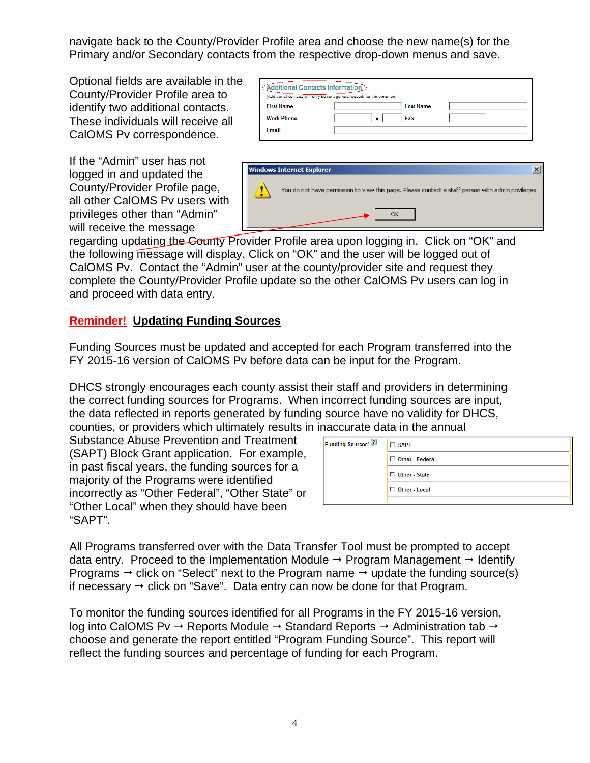navigate back to the County/Provider Profile area and choose the new name(s) for the Primary and/or Secondary contacts from the respective drop-down menus and save.

Optional fields are available in the County/Provider Profile area to identify two additional contacts. These individuals will receive all CalOMS Pv correspondence.

If the "Admin" user has not logged in and updated the County/Provider Profile page, all other CalOMS Pv users with privileges other than "Admin" will receive the message

|                   | (Additional contacts will only be sent general department information) |                  |  |
|-------------------|------------------------------------------------------------------------|------------------|--|
| <b>First Name</b> |                                                                        | <b>Last Name</b> |  |
| <b>Work Phone</b> |                                                                        | Fax<br>x         |  |
| Email             |                                                                        |                  |  |



regarding updating the County Provider Profile area upon logging in. Click on "OK" and the following message will display. Click on "OK" and the user will be logged out of CalOMS Pv. Contact the "Admin" user at the county/provider site and request they complete the County/Provider Profile update so the other CalOMS Pv users can log in and proceed with data entry.

## **Reminder! Updating Funding Sources**

Funding Sources must be updated and accepted for each Program transferred into the FY 2015-16 version of CalOMS Pv before data can be input for the Program.

DHCS strongly encourages each county assist their staff and providers in determining the correct funding sources for Programs. When incorrect funding sources are input, the data reflected in reports generated by funding source have no validity for DHCS, counties, or providers which ultimately results in inaccurate data in the annual

Substance Abuse Prevention and Treatment (SAPT) Block Grant application. For example, in past fiscal years, the funding sources for a majority of the Programs were identified incorrectly as "Other Federal", "Other State" or "Other Local" when they should have been "SAPT".

| $\Box$ SAPT       |
|-------------------|
| □ Other - Federal |
| □ Other - State   |
| Other - Local     |
|                   |

All Programs transferred over with the Data Transfer Tool must be prompted to accept data entry. Proceed to the Implementation Module  $\rightarrow$  Program Management  $\rightarrow$  Identify Programs  $\rightarrow$  click on "Select" next to the Program name  $\rightarrow$  update the funding source(s) if necessary  $\rightarrow$  click on "Save". Data entry can now be done for that Program.

To monitor the funding sources identified for all Programs in the FY 2015-16 version, log into CalOMS Pv  $\rightarrow$  Reports Module  $\rightarrow$  Standard Reports  $\rightarrow$  Administration tab  $\rightarrow$ choose and generate the report entitled "Program Funding Source". This report will reflect the funding sources and percentage of funding for each Program.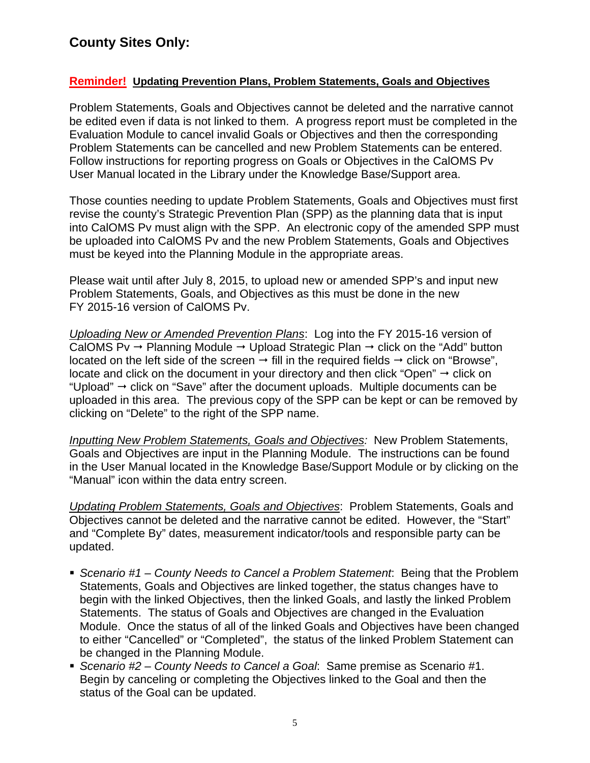# **County Sites Only:**

#### **Reminder! Updating Prevention Plans, Problem Statements, Goals and Objectives**

Problem Statements, Goals and Objectives cannot be deleted and the narrative cannot be edited even if data is not linked to them. A progress report must be completed in the Evaluation Module to cancel invalid Goals or Objectives and then the corresponding Problem Statements can be cancelled and new Problem Statements can be entered. Follow instructions for reporting progress on Goals or Objectives in the CalOMS Pv User Manual located in the Library under the Knowledge Base/Support area.

Those counties needing to update Problem Statements, Goals and Objectives must first revise the county's Strategic Prevention Plan (SPP) as the planning data that is input into CalOMS Pv must align with the SPP. An electronic copy of the amended SPP must be uploaded into CalOMS Pv and the new Problem Statements, Goals and Objectives must be keyed into the Planning Module in the appropriate areas.

Please wait until after July 8, 2015, to upload new or amended SPP's and input new Problem Statements, Goals, and Objectives as this must be done in the new FY 2015-16 version of CalOMS Pv.

*Uploading New or Amended Prevention Plans*: Log into the FY 2015-16 version of CalOMS Pv  $\rightarrow$  Planning Module  $\rightarrow$  Upload Strategic Plan  $\rightarrow$  click on the "Add" button located on the left side of the screen  $\rightarrow$  fill in the required fields  $\rightarrow$  click on "Browse", locate and click on the document in your directory and then click "Open"  $\rightarrow$  click on "Upload"  $\rightarrow$  click on "Save" after the document uploads. Multiple documents can be uploaded in this area. The previous copy of the SPP can be kept or can be removed by clicking on "Delete" to the right of the SPP name.

*Inputting New Problem Statements, Goals and Objectives:* New Problem Statements, Goals and Objectives are input in the Planning Module. The instructions can be found in the User Manual located in the Knowledge Base/Support Module or by clicking on the "Manual" icon within the data entry screen.

*Updating Problem Statements, Goals and Objectives*: Problem Statements, Goals and Objectives cannot be deleted and the narrative cannot be edited. However, the "Start" and "Complete By" dates, measurement indicator/tools and responsible party can be updated.

- *Scenario #1 County Needs to Cancel a Problem Statement*: Being that the Problem Statements, Goals and Objectives are linked together, the status changes have to begin with the linked Objectives, then the linked Goals, and lastly the linked Problem Statements. The status of Goals and Objectives are changed in the Evaluation Module. Once the status of all of the linked Goals and Objectives have been changed to either "Cancelled" or "Completed", the status of the linked Problem Statement can be changed in the Planning Module.
- *Scenario #2 County Needs to Cancel a Goal*: Same premise as Scenario #1. Begin by canceling or completing the Objectives linked to the Goal and then the status of the Goal can be updated.